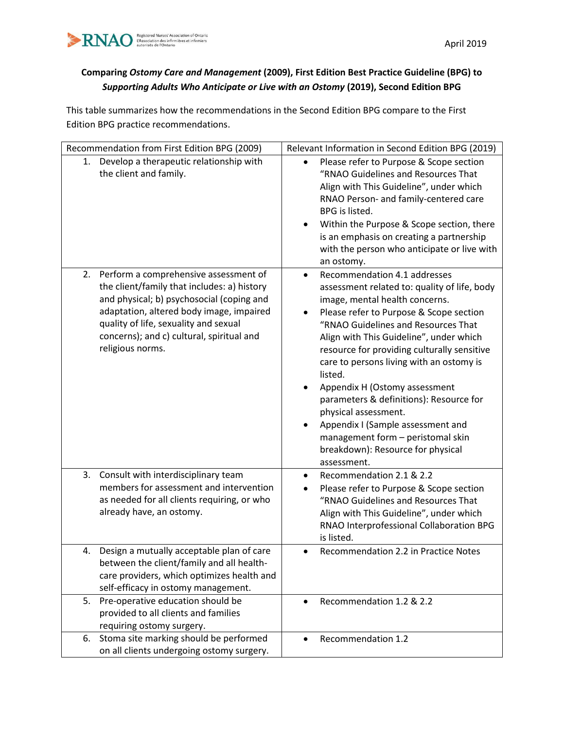

## **Comparing** *Ostomy Care and Management* **(2009), First Edition Best Practice Guideline (BPG) to**  *Supporting Adults Who Anticipate or Live with an Ostomy* **(2019), Second Edition BPG**

This table summarizes how the recommendations in the Second Edition BPG compare to the First Edition BPG practice recommendations.

| Recommendation from First Edition BPG (2009)                                                                                                                                                                                                                                               | Relevant Information in Second Edition BPG (2019)                                                                                                                                                                                                                                                                                                                                                                                                                                                                                                                                                     |
|--------------------------------------------------------------------------------------------------------------------------------------------------------------------------------------------------------------------------------------------------------------------------------------------|-------------------------------------------------------------------------------------------------------------------------------------------------------------------------------------------------------------------------------------------------------------------------------------------------------------------------------------------------------------------------------------------------------------------------------------------------------------------------------------------------------------------------------------------------------------------------------------------------------|
| 1. Develop a therapeutic relationship with<br>the client and family.                                                                                                                                                                                                                       | Please refer to Purpose & Scope section<br>"RNAO Guidelines and Resources That<br>Align with This Guideline", under which<br>RNAO Person- and family-centered care<br>BPG is listed.<br>Within the Purpose & Scope section, there<br>is an emphasis on creating a partnership<br>with the person who anticipate or live with<br>an ostomy.                                                                                                                                                                                                                                                            |
| 2. Perform a comprehensive assessment of<br>the client/family that includes: a) history<br>and physical; b) psychosocial (coping and<br>adaptation, altered body image, impaired<br>quality of life, sexuality and sexual<br>concerns); and c) cultural, spiritual and<br>religious norms. | Recommendation 4.1 addresses<br>$\bullet$<br>assessment related to: quality of life, body<br>image, mental health concerns.<br>Please refer to Purpose & Scope section<br>"RNAO Guidelines and Resources That<br>Align with This Guideline", under which<br>resource for providing culturally sensitive<br>care to persons living with an ostomy is<br>listed.<br>Appendix H (Ostomy assessment<br>parameters & definitions): Resource for<br>physical assessment.<br>Appendix I (Sample assessment and<br>٠<br>management form - peristomal skin<br>breakdown): Resource for physical<br>assessment. |
| Consult with interdisciplinary team<br>3.<br>members for assessment and intervention<br>as needed for all clients requiring, or who<br>already have, an ostomy.                                                                                                                            | Recommendation 2.1 & 2.2<br>$\bullet$<br>Please refer to Purpose & Scope section<br>$\bullet$<br>"RNAO Guidelines and Resources That<br>Align with This Guideline", under which<br>RNAO Interprofessional Collaboration BPG<br>is listed.                                                                                                                                                                                                                                                                                                                                                             |
| Design a mutually acceptable plan of care<br>4.<br>between the client/family and all health-<br>care providers, which optimizes health and<br>self-efficacy in ostomy management.                                                                                                          | Recommendation 2.2 in Practice Notes                                                                                                                                                                                                                                                                                                                                                                                                                                                                                                                                                                  |
| 5. Pre-operative education should be<br>provided to all clients and families<br>requiring ostomy surgery.                                                                                                                                                                                  | Recommendation 1.2 & 2.2                                                                                                                                                                                                                                                                                                                                                                                                                                                                                                                                                                              |
| Stoma site marking should be performed<br>6.<br>on all clients undergoing ostomy surgery.                                                                                                                                                                                                  | Recommendation 1.2                                                                                                                                                                                                                                                                                                                                                                                                                                                                                                                                                                                    |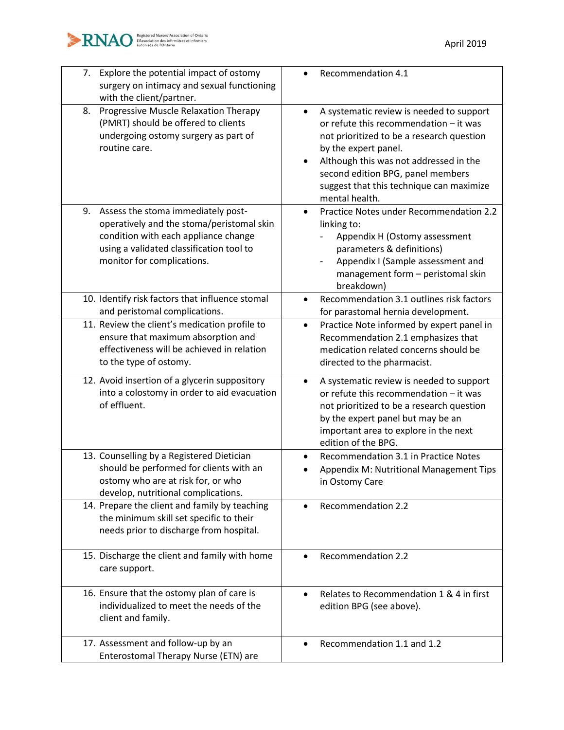

| Explore the potential impact of ostomy<br>7.<br>surgery on intimacy and sexual functioning<br>with the client/partner.                                                                               | Recommendation 4.1                                                                                                                                                                                                                                                                                   |
|------------------------------------------------------------------------------------------------------------------------------------------------------------------------------------------------------|------------------------------------------------------------------------------------------------------------------------------------------------------------------------------------------------------------------------------------------------------------------------------------------------------|
| Progressive Muscle Relaxation Therapy<br>8.<br>(PMRT) should be offered to clients<br>undergoing ostomy surgery as part of<br>routine care.                                                          | A systematic review is needed to support<br>or refute this recommendation - it was<br>not prioritized to be a research question<br>by the expert panel.<br>Although this was not addressed in the<br>second edition BPG, panel members<br>suggest that this technique can maximize<br>mental health. |
| 9. Assess the stoma immediately post-<br>operatively and the stoma/peristomal skin<br>condition with each appliance change<br>using a validated classification tool to<br>monitor for complications. | Practice Notes under Recommendation 2.2<br>$\bullet$<br>linking to:<br>Appendix H (Ostomy assessment<br>parameters & definitions)<br>Appendix I (Sample assessment and<br>management form - peristomal skin<br>breakdown)                                                                            |
| 10. Identify risk factors that influence stomal<br>and peristomal complications.                                                                                                                     | Recommendation 3.1 outlines risk factors<br>for parastomal hernia development.                                                                                                                                                                                                                       |
| 11. Review the client's medication profile to<br>ensure that maximum absorption and<br>effectiveness will be achieved in relation<br>to the type of ostomy.                                          | Practice Note informed by expert panel in<br>$\bullet$<br>Recommendation 2.1 emphasizes that<br>medication related concerns should be<br>directed to the pharmacist.                                                                                                                                 |
| 12. Avoid insertion of a glycerin suppository<br>into a colostomy in order to aid evacuation<br>of effluent.                                                                                         | A systematic review is needed to support<br>$\bullet$<br>or refute this recommendation - it was<br>not prioritized to be a research question<br>by the expert panel but may be an<br>important area to explore in the next<br>edition of the BPG.                                                    |
| 13. Counselling by a Registered Dietician<br>should be performed for clients with an<br>ostomy who are at risk for, or who<br>develop, nutritional complications.                                    | Recommendation 3.1 in Practice Notes<br>٠<br>Appendix M: Nutritional Management Tips<br>in Ostomy Care                                                                                                                                                                                               |
| 14. Prepare the client and family by teaching<br>the minimum skill set specific to their<br>needs prior to discharge from hospital.                                                                  | <b>Recommendation 2.2</b>                                                                                                                                                                                                                                                                            |
| 15. Discharge the client and family with home<br>care support.                                                                                                                                       | <b>Recommendation 2.2</b>                                                                                                                                                                                                                                                                            |
| 16. Ensure that the ostomy plan of care is<br>individualized to meet the needs of the<br>client and family.                                                                                          | Relates to Recommendation 1 & 4 in first<br>edition BPG (see above).                                                                                                                                                                                                                                 |
| 17. Assessment and follow-up by an<br>Enterostomal Therapy Nurse (ETN) are                                                                                                                           | Recommendation 1.1 and 1.2                                                                                                                                                                                                                                                                           |